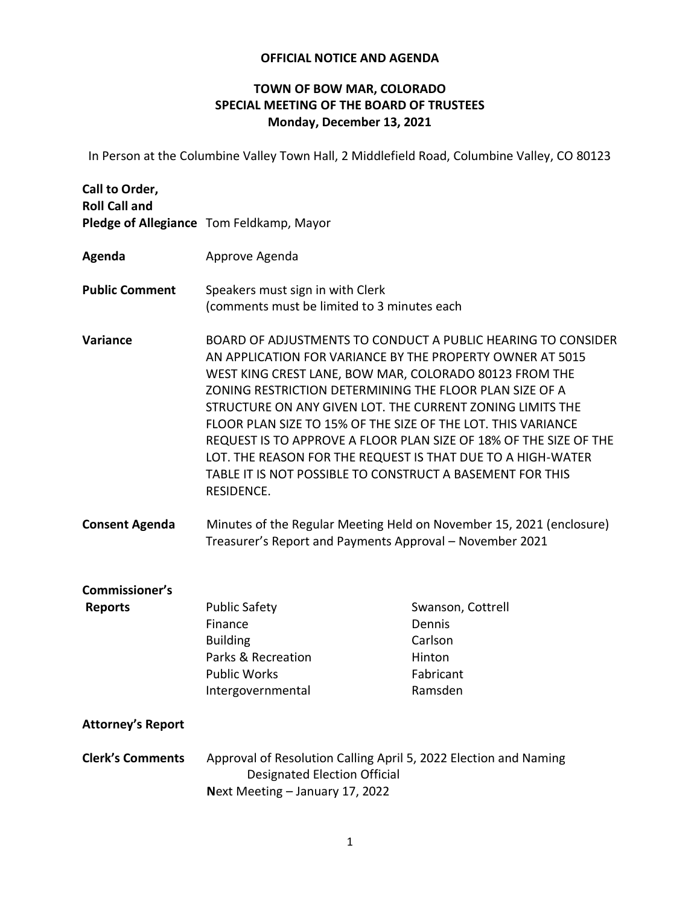## **OFFICIAL NOTICE AND AGENDA**

## **TOWN OF BOW MAR, COLORADO SPECIAL MEETING OF THE BOARD OF TRUSTEES Monday, December 13, 2021**

In Person at the Columbine Valley Town Hall, 2 Middlefield Road, Columbine Valley, CO 80123

| Call to Order,<br><b>Roll Call and</b>  | Pledge of Allegiance Tom Feldkamp, Mayor                                                                                                                                                                                                                                                                                                                                                                                                                                                                                                                                                   |                                                                          |
|-----------------------------------------|--------------------------------------------------------------------------------------------------------------------------------------------------------------------------------------------------------------------------------------------------------------------------------------------------------------------------------------------------------------------------------------------------------------------------------------------------------------------------------------------------------------------------------------------------------------------------------------------|--------------------------------------------------------------------------|
| Agenda                                  | Approve Agenda                                                                                                                                                                                                                                                                                                                                                                                                                                                                                                                                                                             |                                                                          |
| <b>Public Comment</b>                   | Speakers must sign in with Clerk<br>(comments must be limited to 3 minutes each                                                                                                                                                                                                                                                                                                                                                                                                                                                                                                            |                                                                          |
| Variance                                | BOARD OF ADJUSTMENTS TO CONDUCT A PUBLIC HEARING TO CONSIDER<br>AN APPLICATION FOR VARIANCE BY THE PROPERTY OWNER AT 5015<br>WEST KING CREST LANE, BOW MAR, COLORADO 80123 FROM THE<br>ZONING RESTRICTION DETERMINING THE FLOOR PLAN SIZE OF A<br>STRUCTURE ON ANY GIVEN LOT. THE CURRENT ZONING LIMITS THE<br>FLOOR PLAN SIZE TO 15% OF THE SIZE OF THE LOT. THIS VARIANCE<br>REQUEST IS TO APPROVE A FLOOR PLAN SIZE OF 18% OF THE SIZE OF THE<br>LOT. THE REASON FOR THE REQUEST IS THAT DUE TO A HIGH-WATER<br>TABLE IT IS NOT POSSIBLE TO CONSTRUCT A BASEMENT FOR THIS<br>RESIDENCE. |                                                                          |
| <b>Consent Agenda</b>                   | Minutes of the Regular Meeting Held on November 15, 2021 (enclosure)<br>Treasurer's Report and Payments Approval - November 2021                                                                                                                                                                                                                                                                                                                                                                                                                                                           |                                                                          |
| <b>Commissioner's</b><br><b>Reports</b> | <b>Public Safety</b><br>Finance<br><b>Building</b><br>Parks & Recreation<br><b>Public Works</b><br>Intergovernmental                                                                                                                                                                                                                                                                                                                                                                                                                                                                       | Swanson, Cottrell<br>Dennis<br>Carlson<br>Hinton<br>Fabricant<br>Ramsden |
| <b>Attorney's Report</b>                |                                                                                                                                                                                                                                                                                                                                                                                                                                                                                                                                                                                            |                                                                          |
| <b>Clerk's Comments</b>                 | Approval of Resolution Calling April 5, 2022 Election and Naming<br><b>Designated Election Official</b><br>Next Meeting - January 17, 2022                                                                                                                                                                                                                                                                                                                                                                                                                                                 |                                                                          |
|                                         |                                                                                                                                                                                                                                                                                                                                                                                                                                                                                                                                                                                            |                                                                          |